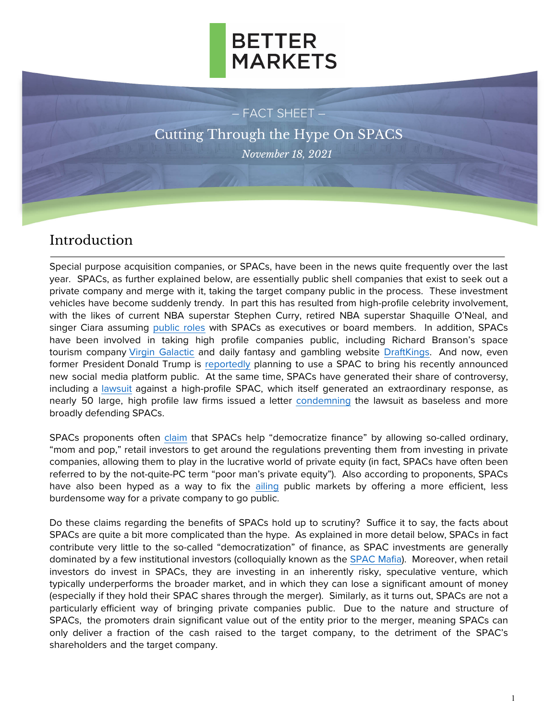

– FACT SHEET – Cutting Through the Hype On SPACS *November 18, 2021*

#### Introduction

Special purpose acquisition companies, or SPACs, have been in the news quite frequently over the last year. SPACs, as further explained below, are essentially public shell companies that exist to seek out a private company and merge with it, taking the target company public in the process. These investment vehicles have become suddenly trendy. In part this has resulted from high-profile celebrity involvement, with the likes of current NBA superstar Stephen Curry, retired NBA superstar Shaquille O'Neal, and singer Ciara assuming [public roles](https://news.crunchbase.com/news/athletes-and-celebrities-join-the-spac-boom-sec-takes-notice/) with SPACs as executives or board members. In addition, SPACs have been involved in taking high profile companies public, including Richard Branson's space tourism company Virgin [Galactic](https://techcrunch.com/2021/08/23/virgin-orbit-to-go-public-via-3-2b-spac-deal/) and daily fantasy and gambling website [DraftKings.](https://www.thedeal.com/mergers-acquisitions/draftkings-hits-public-market-with-spac-merger/) And now, even former President Donald Trump is [reportedly](https://www.cnbc.com/2021/10/22/trump-social-media-spac-digital-world-acquisition-corp-surges-another-100percent.html) planning to use a SPAC to bring his recently announced new social media platform public. At the same time, SPACs have generated their share of contr[oversy,](https://www.cnbc.com/2021/08/26/lawyers-suing-bill-ackmans-spac-plan-up-to-50-more-lawsuits-against-blank-check-firms-sources-say.html)  including a lawsuit against a high-profile SPAC, which itself generated an extraordinary response, as nearly 50 large, high profile law firms issued a letter [condemning](https://www.nytimes.com/2021/08/30/business/dealbook/spac-lawsuits.html) the lawsuit as baseless and more broadly defending SPACs.

SPACs proponents often [claim](https://www.newyorker.com/magazine/2021/06/07/the-pied-piper-of-spacs) that SPACs help "democratize finance" by allowing so-called ordinary, "mom and pop," retail investors to get around the regulations preventing them from investing in private companies, allowing them to play in the lucrative world of private equity (in fact, SPACs have often been referred to by the not-quite-PC term "poor man's private equity"). Also according to proponents, SPACs have also been hyped as a way to fix the [ailing](https://bettermarkets.org/wp-content/uploads/2021/07/Fact_Sheet_For_Access_to_Private_Markets-2.pdf) public markets by offering a more efficient, less burdensome way for a private company to go public.

Do these claims regarding the benefits of SPACs hold up to scrutiny? Suffice it to say, the facts about SPACs are quite a bit more complicated than the hype. As explained in more detail below, SPACs in fact contribute very little to the so-called "democratization" of finance, as SPAC investments are generally dominated by a few institutional investors (colloquially known as the [SPAC Mafia\)](https://www.forbes.com/sites/antoinegara/2020/11/19/the-looming-spac-meltdown/?sh=3066414f70d7). Moreover, when retail investors do invest in SPACs, they are investing in an inherently risky, speculative venture, which typically underperforms the broader market, and in which they can lose a significant amount of money (especially if they hold their SPAC shares through the merger). Similarly, as it turns out, SPACs are not a particularly efficient way of bringing private companies public. Due to the nature and structure of SPACs, the promoters drain significant value out of the entity prior to the merger, meaning SPACs can only deliver a fraction of the cash raised to the target company, to the detriment of the SPAC's shareholders and the target company.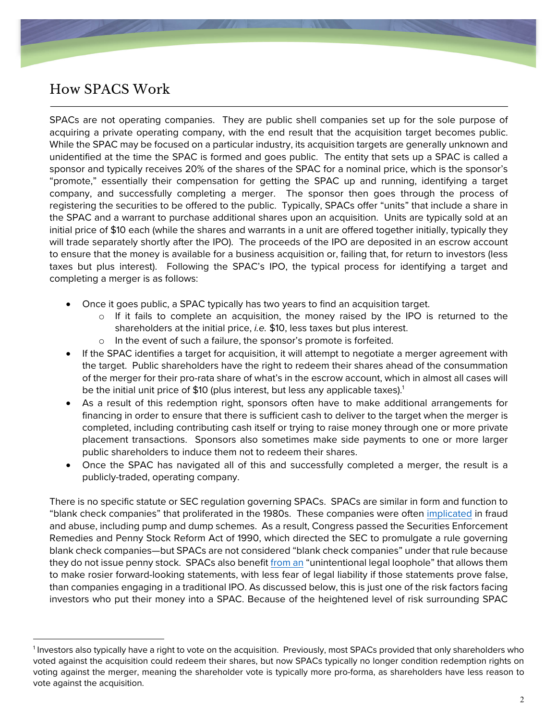## How SPACS Work

SPACs are not operating companies. They are public shell companies set up for the sole purpose of acquiring a private operating company, with the end result that the acquisition target becomes public. While the SPAC may be focused on a particular industry, its acquisition targets are generally unknown and unidentified at the time the SPAC is formed and goes public. The entity that sets up a SPAC is called a sponsor and typically receives 20% of the shares of the SPAC for a nominal price, which is the sponsor's "promote," essentially their compensation for getting the SPAC up and running, identifying a target company, and successfully completing a merger. The sponsor then goes through the process of registering the securities to be offered to the public. Typically, SPACs offer "units" that include a share in the SPAC and a warrant to purchase additional shares upon an acquisition. Units are typically sold at an initial price of \$10 each (while the shares and warrants in a unit are offered together initially, typically they will trade separately shortly after the IPO). The proceeds of the IPO are deposited in an escrow account to ensure that the money is available for a business acquisition or, failing that, for return to investors (less taxes but plus interest). Following the SPAC's IPO, the typical process for identifying a target and completing a merger is as follows:

- Once it goes public, a SPAC typically has two years to find an acquisition target.
	- o If it fails to complete an acquisition, the money raised by the IPO is returned to the shareholders at the initial price, *i.e.* \$10, less taxes but plus interest.
	- o In the event of such a failure, the sponsor's promote is forfeited.
- If the SPAC identifies a target for acquisition, it will attempt to negotiate a merger agreement with the target. Public shareholders have the right to redeem their shares ahead of the consummation of the merger for their pro-rata share of what's in the escrow account, which in almost all cases will be the initial unit price of \$10 (plus interest, but less any applicable taxes). 1
- As a result of this redemption right, sponsors often have to make additional arrangements for financing in order to ensure that there is sufficient cash to deliver to the target when the merger is completed, including contributing cash itself or trying to raise money through one or more private placement transactions. Sponsors also sometimes make side payments to one or more larger public shareholders to induce them not to redeem their shares.
- Once the SPAC has navigated all of this and successfully completed a merger, the result is a publicly-traded, operating company.

There is no specific statute or SEC regulation governing SPACs. SPACs are similar in form and function to "blank check companies" that proliferated in the 1980s. These companies were often [implicated](https://digitalcommons.law.uga.edu/fac_artchop/923/) in fraud and abuse, including pump and dump schemes. As a result, Congress passed the Securities Enforcement Remedies and Penny Stock Reform Act of 1990, which directed the SEC to promulgate a rule governing blank check companies—but SPACs are not considered "blank check companies" under that rule because they do not issue penny stock. SPACs also benefit [from an](https://www.vox.com/recode/22303457/spacs-explained-stock-market-ipo-draftkings) "unintentional legal loophole" that allows them to make rosier forward-looking statements, with less fear of legal liability if those statements prove false, than companies engaging in a traditional IPO. As discussed below, this is just one of the risk factors facing investors who put their money into a SPAC. Because of the heightened level of risk surrounding SPAC

<sup>&</sup>lt;sup>1</sup> Investors also typically have a right to vote on the acquisition. Previously, most SPACs provided that only shareholders who voted against the acquisition could redeem their shares, but now SPACs typically no longer condition redemption rights on voting against the merger, meaning the shareholder vote is typically more pro-forma, as shareholders have less reason to vote against the acquisition.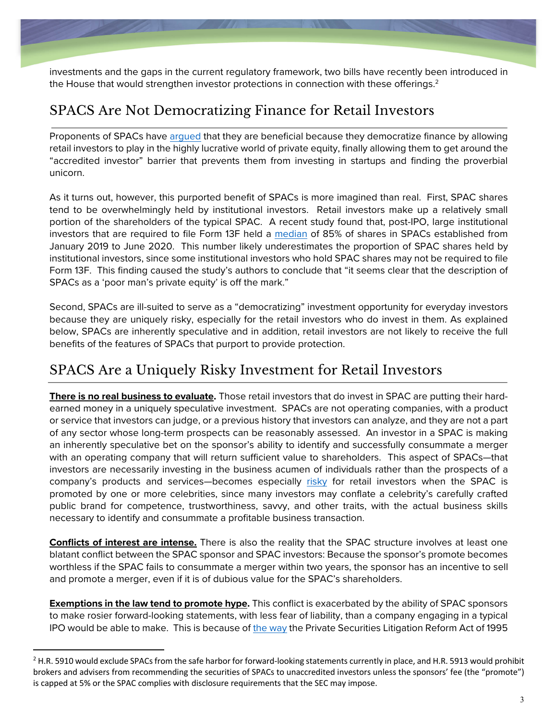investments and the gaps in the current regulatory framework, two bills have recently been introduced in the House that would strengthen investor protections in connection with these offerings. $^2$ 

#### SPACS Are Not Democratizing Finance for Retail Investors

Proponents of SPACs have [argued](https://www.axios.com/spac-boom-democratization-stock-market-83c810f0-d13c-4750-a5e8-993abd4562ef.html) that they are beneficial because they democratize finance by allowing retail investors to play in the highly lucrative world of private equity, finally allowing them to get around the "accredited investor" barrier that prevents them from investing in startups and finding the proverbial unicorn.

As it turns out, however, this purported benefit of SPACs is more imagined than real. First, SPAC shares tend to be overwhelmingly held by institutional investors. Retail investors make up a relatively small portion of the shareholders of the typical SPAC. A recent study found that, post-IPO, large institutional investors that are required to file Form 13F held a [median](https://papers.ssrn.com/sol3/papers.cfm?abstract_id=3720919) of 85% of shares in SPACs established from January 2019 to June 2020. This number likely underestimates the proportion of SPAC shares held by institutional investors, since some institutional investors who hold SPAC shares may not be required to file Form 13F. This finding caused the study's authors to conclude that "it seems clear that the description of SPACs as a 'poor man's private equity' is off the mark."

Second, SPACs are ill-suited to serve as a "democratizing" investment opportunity for everyday investors because they are uniquely risky, especially for the retail investors who do invest in them. As explained below, SPACs are inherently speculative and in addition, retail investors are not likely to receive the full benefits of the features of SPACs that purport to provide protection.

## SPACS Are a Uniquely Risky Investment for Retail Investors

**There is no real business to evaluate.** Those retail investors that do invest in SPAC are putting their hardearned money in a uniquely speculative investment. SPACs are not operating companies, with a product or service that investors can judge, or a previous history that investors can analyze, and they are not a part of any sector whose long-term prospects can be reasonably assessed. An investor in a SPAC is making an inherently speculative bet on the sponsor's ability to identify and successfully consummate a merger with an operating company that will return sufficient value to shareholders. This aspect of SPACs—that investors are necessarily investing in the business acumen of individuals rather than the prospects of a company's products and services—becomes especially [risky](https://www.sec.gov/oiea/investor-alerts-and-bulletins/celebrity-involvement-spacs-investor-alert) for retail investors when the SPAC is promoted by one or more celebrities, since many investors may conflate a celebrity's carefully crafted public brand for competence, trustworthiness, savvy, and other traits, with the actual business skills necessary to identify and consummate a profitable business transaction.

**Conflicts of interest are intense.** There is also the reality that the SPAC structure involves at least one blatant conflict between the SPAC sponsor and SPAC investors: Because the sponsor's promote becomes worthless if the SPAC fails to consummate a merger within two years, the sponsor has an incentive to sell and promote a merger, even if it is of dubious value for the SPAC's shareholders.

**Exemptions in the law tend to promote hype.** This conflict is exacerbated by the ability of SPAC sponsors to make rosier forward-looking statements, with less fear of liability, than a company engaging in a typical IPO would be able to make. This is because of [the way](https://www.reuters.com/legal/legalindustry/spacs-speculation-changing-legal-liability-forward-looking-statements-2021-07-07/) the Private Securities Litigation Reform Act of 1995

 $2$  H.R. 5910 would exclude SPACs from the safe harbor for forward-looking statements currently in place, and H.R. 5913 would prohibit brokers and advisers from recommending the securities of SPACs to unaccredited investors unless the sponsors' fee (the "promote") is capped at 5% or the SPAC complies with disclosure requirements that the SEC may impose.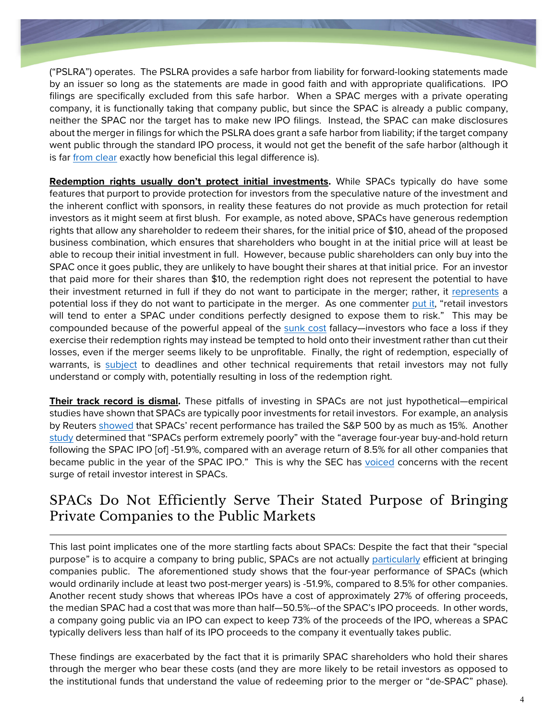("PSLRA") operates. The PSLRA provides a safe harbor from liability for forward-looking statements made by an issuer so long as the statements are made in good faith and with appropriate qualifications. IPO filings are specifically excluded from this safe harbor. When a SPAC merges with a private operating company, it is functionally taking that company public, but since the SPAC is already a public company, neither the SPAC nor the target has to make new IPO filings. Instead, the SPAC can make disclosures about the merger in filings for which the PSLRA does grant a safe harbor from liability; if the target company went public through the standard IPO process, it would not get the benefit of the safe harbor (although it is far [from clear](https://www.sec.gov/news/public-statement/spacs-ipos-liability-risk-under-securities-laws) exactly how beneficial this legal difference is).

**Redemption rights usually don't protect initial investments.** While SPACs typically do have some features that purport to provide protection for investors from the speculative nature of the investment and the inherent conflict with sponsors, in reality these features do not provide as much protection for retail investors as it might seem at first blush. For example, as noted above, SPACs have generous redemption rights that allow any shareholder to redeem their shares, for the initial price of \$10, ahead of the proposed business combination, which ensures that shareholders who bought in at the initial price will at least be able to recoup their initial investment in full. However, because public shareholders can only buy into the SPAC once it goes public, they are unlikely to have bought their shares at that initial price. For an investor that paid more for their shares than \$10, the redemption right does not represent the potential to have their investment returned in full if they do not want to participate in the merger; rather, it [represents](https://www.vox.com/recode/22303457/spacs-explained-stock-market-ipo-draftkings) a potential loss if they do not want to participate in the merger. As one commenter [put it,](https://papers.ssrn.com/sol3/papers.cfm?abstract_id=3906196) "retail investors will tend to enter a SPAC under conditions perfectly designed to expose them to risk." This may be compounded because of the powerful appeal of the [sunk cost](https://www.sciencedirect.com/science/article/abs/pii/0749597885900494) fallacy—investors who face a loss if they exercise their redemption rights may instead be tempted to hold onto their investment rather than cut their losses, even if the merger seems likely to be unprofitable. Finally, the right of redemption, especially of warrants, is [subject](https://www.sec.gov/oiea/investor-alerts-and-bulletins/what-you-need-know-about-spacs-investor-bulletin) to deadlines and other technical requirements that retail investors may not fully understand or comply with, potentially resulting in loss of the redemption right.

**Their track record is dismal.** These pitfalls of investing in SPACs are not just hypothetical—empirical studies have shown that SPACs are typically poor investments for retail investors. For example, an analysis by Reuters [showed](https://www.reuters.com/business/spac-returns-trail-sp-500-retail-investors-temper-interest-2021-05-04/) that SPACs' recent performance has trailed the S&P 500 by as much as 15%. Another [study](https://ore.exeter.ac.uk/repository/bitstream/handle/10871/25163/Manuscript_4.pdf?sequence=1) determined that "SPACs perform extremely poorly" with the "average four-year buy-and-hold return following the SPAC IPO [of] -51.9%, compared with an average return of 8.5% for all other companies that became public in the year of the SPAC IPO." This is why the SEC has [voiced](https://www.sec.gov/oiea/investor-alerts-and-bulletins/celebrity-involvement-spacs-investor-alert) concerns with the recent surge of retail investor interest in SPACs.

#### SPACs Do Not Efficiently Serve Their Stated Purpose of Bringing Private Companies to the Public Markets

This last point implicates one of the more startling facts about SPACs: Despite the fact that their "special purpose" is to acquire a company to bring public, SPACs are not actually [particularly](https://papers.ssrn.com/sol3/papers.cfm?abstract_id=3720919) efficient at bringing companies public. The aforementioned study shows that the four-year performance of SPACs (which would ordinarily include at least two post-merger years) is -51.9%, compared to 8.5% for other companies. Another recent study shows that whereas IPOs have a cost of approximately 27% of offering proceeds, the median SPAC had a cost that was more than half—50.5%--of the SPAC's IPO proceeds. In other words, a company going public via an IPO can expect to keep 73% of the proceeds of the IPO, whereas a SPAC typically delivers less than half of its IPO proceeds to the company it eventually takes public.

These findings are exacerbated by the fact that it is primarily SPAC shareholders who hold their shares through the merger who bear these costs (and they are more likely to be retail investors as opposed to the institutional funds that understand the value of redeeming prior to the merger or "de-SPAC" phase).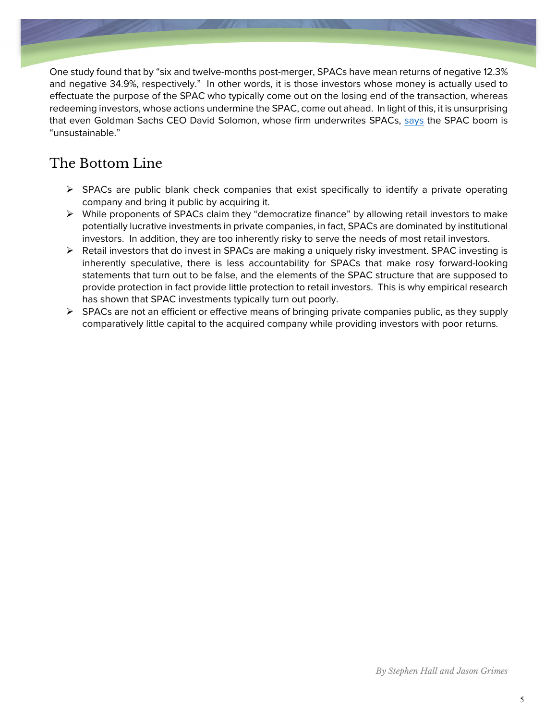One study found that by "six and twelve-months post-merger, SPACs have mean returns of negative 12.3% and negative 34.9%, respectively." In other words, it is those investors whose money is actually used to effectuate the purpose of the SPAC who typically come out on the losing end of the transaction, whereas redeeming investors, whose actions undermine the SPAC, come out ahead. In light of this, it is unsurprising that even Goldman Sachs CEO David Solomon, whose firm underwrites SPACs, [says](https://www.ft.com/content/caa33f44-fd08-4049-a20e-3c3fde778b50) the SPAC boom is "unsustainable."

# The Bottom Line

- $\triangleright$  SPACs are public blank check companies that exist specifically to identify a private operating company and bring it public by acquiring it.
- $\triangleright$  While proponents of SPACs claim they "democratize finance" by allowing retail investors to make potentially lucrative investments in private companies, in fact, SPACs are dominated by institutional investors. In addition, they are too inherently risky to serve the needs of most retail investors.
- $\triangleright$  Retail investors that do invest in SPACs are making a uniquely risky investment. SPAC investing is inherently speculative, there is less accountability for SPACs that make rosy forward-looking statements that turn out to be false, and the elements of the SPAC structure that are supposed to provide protection in fact provide little protection to retail investors. This is why empirical research has shown that SPAC investments typically turn out poorly.
- $\triangleright$  SPACs are not an efficient or effective means of bringing private companies public, as they supply comparatively little capital to the acquired company while providing investors with poor returns.